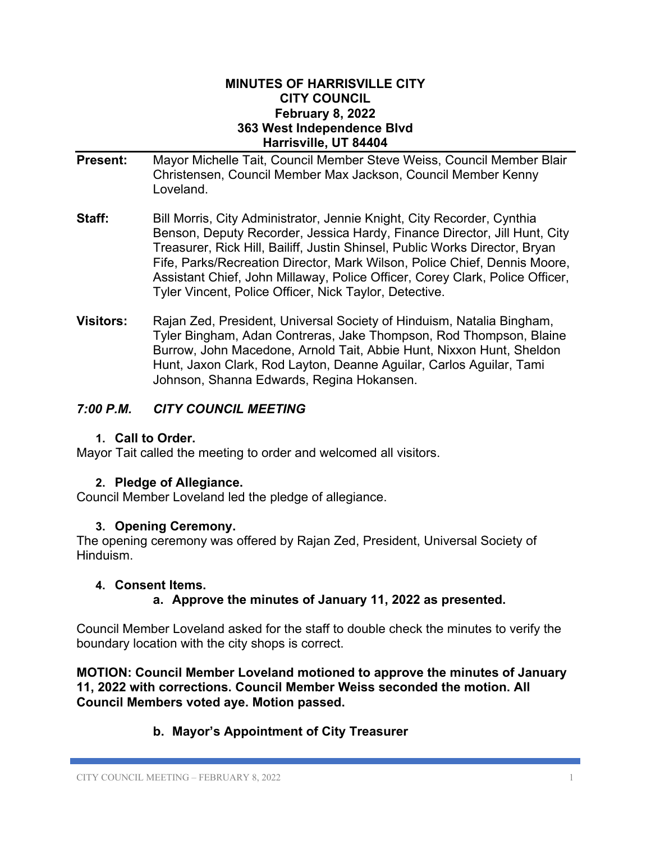#### **MINUTES OF HARRISVILLE CITY CITY COUNCIL February 8, 2022 363 West Independence Blvd Harrisville, UT 84404**

- **Present:** Mayor Michelle Tait, Council Member Steve Weiss, Council Member Blair Christensen, Council Member Max Jackson, Council Member Kenny Loveland.
- **Staff:** Bill Morris, City Administrator, Jennie Knight, City Recorder, Cynthia Benson, Deputy Recorder, Jessica Hardy, Finance Director, Jill Hunt, City Treasurer, Rick Hill, Bailiff, Justin Shinsel, Public Works Director, Bryan Fife, Parks/Recreation Director, Mark Wilson, Police Chief, Dennis Moore, Assistant Chief, John Millaway, Police Officer, Corey Clark, Police Officer, Tyler Vincent, Police Officer, Nick Taylor, Detective.
- **Visitors:** Rajan Zed, President, Universal Society of Hinduism, Natalia Bingham, Tyler Bingham, Adan Contreras, Jake Thompson, Rod Thompson, Blaine Burrow, John Macedone, Arnold Tait, Abbie Hunt, Nixxon Hunt, Sheldon Hunt, Jaxon Clark, Rod Layton, Deanne Aguilar, Carlos Aguilar, Tami Johnson, Shanna Edwards, Regina Hokansen.

# *7:00 P.M. CITY COUNCIL MEETING*

#### **1. Call to Order.**

Mayor Tait called the meeting to order and welcomed all visitors.

## **2. Pledge of Allegiance.**

Council Member Loveland led the pledge of allegiance.

#### **3. Opening Ceremony.**

The opening ceremony was offered by Rajan Zed, President, Universal Society of Hinduism.

#### **4. Consent Items.**

**a. Approve the minutes of January 11, 2022 as presented.**

Council Member Loveland asked for the staff to double check the minutes to verify the boundary location with the city shops is correct.

**MOTION: Council Member Loveland motioned to approve the minutes of January 11, 2022 with corrections. Council Member Weiss seconded the motion. All Council Members voted aye. Motion passed.**

# **b. Mayor's Appointment of City Treasurer**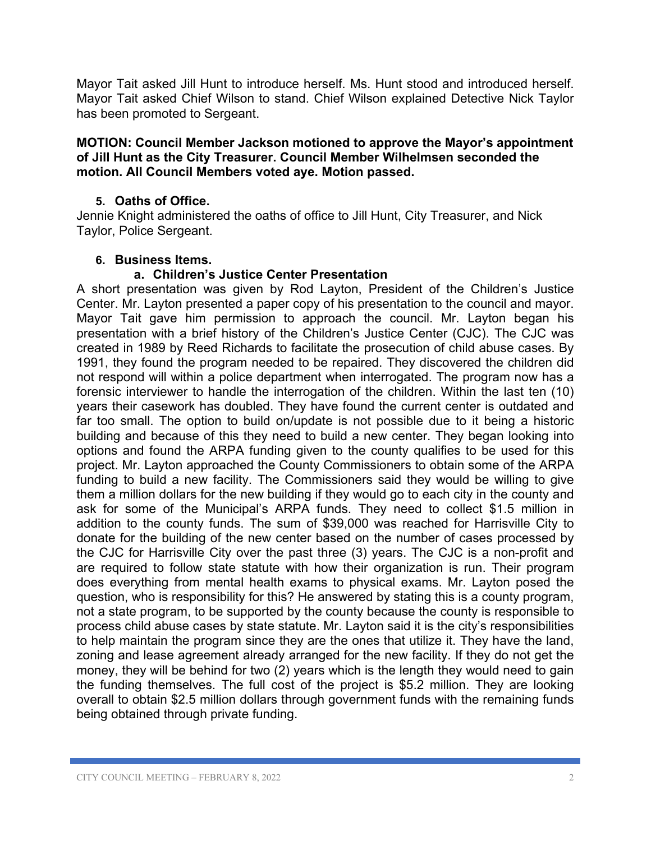Mayor Tait asked Jill Hunt to introduce herself. Ms. Hunt stood and introduced herself. Mayor Tait asked Chief Wilson to stand. Chief Wilson explained Detective Nick Taylor has been promoted to Sergeant.

#### **MOTION: Council Member Jackson motioned to approve the Mayor's appointment of Jill Hunt as the City Treasurer. Council Member Wilhelmsen seconded the motion. All Council Members voted aye. Motion passed.**

## **5. Oaths of Office.**

Jennie Knight administered the oaths of office to Jill Hunt, City Treasurer, and Nick Taylor, Police Sergeant.

## **6. Business Items.**

#### **a. Children's Justice Center Presentation**

A short presentation was given by Rod Layton, President of the Children's Justice Center. Mr. Layton presented a paper copy of his presentation to the council and mayor. Mayor Tait gave him permission to approach the council. Mr. Layton began his presentation with a brief history of the Children's Justice Center (CJC). The CJC was created in 1989 by Reed Richards to facilitate the prosecution of child abuse cases. By 1991, they found the program needed to be repaired. They discovered the children did not respond will within a police department when interrogated. The program now has a forensic interviewer to handle the interrogation of the children. Within the last ten (10) years their casework has doubled. They have found the current center is outdated and far too small. The option to build on/update is not possible due to it being a historic building and because of this they need to build a new center. They began looking into options and found the ARPA funding given to the county qualifies to be used for this project. Mr. Layton approached the County Commissioners to obtain some of the ARPA funding to build a new facility. The Commissioners said they would be willing to give them a million dollars for the new building if they would go to each city in the county and ask for some of the Municipal's ARPA funds. They need to collect \$1.5 million in addition to the county funds. The sum of \$39,000 was reached for Harrisville City to donate for the building of the new center based on the number of cases processed by the CJC for Harrisville City over the past three (3) years. The CJC is a non-profit and are required to follow state statute with how their organization is run. Their program does everything from mental health exams to physical exams. Mr. Layton posed the question, who is responsibility for this? He answered by stating this is a county program, not a state program, to be supported by the county because the county is responsible to process child abuse cases by state statute. Mr. Layton said it is the city's responsibilities to help maintain the program since they are the ones that utilize it. They have the land, zoning and lease agreement already arranged for the new facility. If they do not get the money, they will be behind for two (2) years which is the length they would need to gain the funding themselves. The full cost of the project is \$5.2 million. They are looking overall to obtain \$2.5 million dollars through government funds with the remaining funds being obtained through private funding.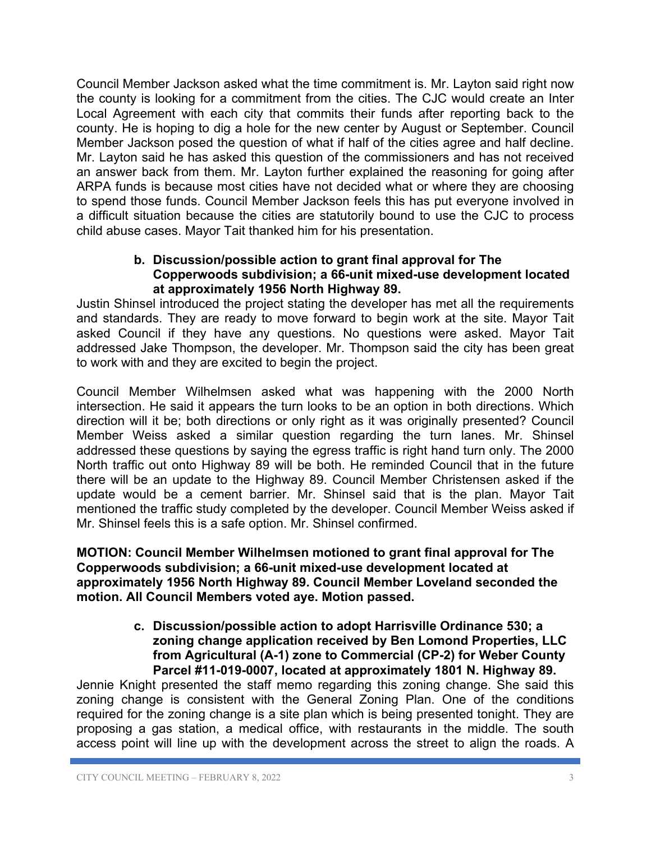Council Member Jackson asked what the time commitment is. Mr. Layton said right now the county is looking for a commitment from the cities. The CJC would create an Inter Local Agreement with each city that commits their funds after reporting back to the county. He is hoping to dig a hole for the new center by August or September. Council Member Jackson posed the question of what if half of the cities agree and half decline. Mr. Layton said he has asked this question of the commissioners and has not received an answer back from them. Mr. Layton further explained the reasoning for going after ARPA funds is because most cities have not decided what or where they are choosing to spend those funds. Council Member Jackson feels this has put everyone involved in a difficult situation because the cities are statutorily bound to use the CJC to process child abuse cases. Mayor Tait thanked him for his presentation.

## **b. Discussion/possible action to grant final approval for The Copperwoods subdivision; a 66-unit mixed-use development located at approximately 1956 North Highway 89.**

Justin Shinsel introduced the project stating the developer has met all the requirements and standards. They are ready to move forward to begin work at the site. Mayor Tait asked Council if they have any questions. No questions were asked. Mayor Tait addressed Jake Thompson, the developer. Mr. Thompson said the city has been great to work with and they are excited to begin the project.

Council Member Wilhelmsen asked what was happening with the 2000 North intersection. He said it appears the turn looks to be an option in both directions. Which direction will it be; both directions or only right as it was originally presented? Council Member Weiss asked a similar question regarding the turn lanes. Mr. Shinsel addressed these questions by saying the egress traffic is right hand turn only. The 2000 North traffic out onto Highway 89 will be both. He reminded Council that in the future there will be an update to the Highway 89. Council Member Christensen asked if the update would be a cement barrier. Mr. Shinsel said that is the plan. Mayor Tait mentioned the traffic study completed by the developer. Council Member Weiss asked if Mr. Shinsel feels this is a safe option. Mr. Shinsel confirmed.

## **MOTION: Council Member Wilhelmsen motioned to grant final approval for The Copperwoods subdivision; a 66-unit mixed-use development located at approximately 1956 North Highway 89. Council Member Loveland seconded the motion. All Council Members voted aye. Motion passed.**

**c. Discussion/possible action to adopt Harrisville Ordinance 530; a zoning change application received by Ben Lomond Properties, LLC from Agricultural (A-1) zone to Commercial (CP-2) for Weber County Parcel #11-019-0007, located at approximately 1801 N. Highway 89.**

Jennie Knight presented the staff memo regarding this zoning change. She said this zoning change is consistent with the General Zoning Plan. One of the conditions required for the zoning change is a site plan which is being presented tonight. They are proposing a gas station, a medical office, with restaurants in the middle. The south access point will line up with the development across the street to align the roads. A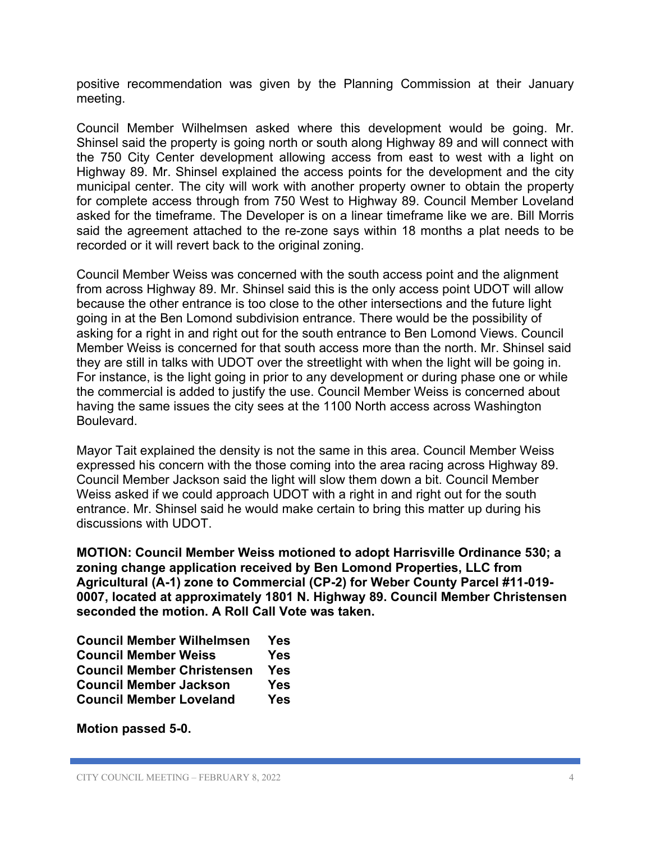positive recommendation was given by the Planning Commission at their January meeting.

Council Member Wilhelmsen asked where this development would be going. Mr. Shinsel said the property is going north or south along Highway 89 and will connect with the 750 City Center development allowing access from east to west with a light on Highway 89. Mr. Shinsel explained the access points for the development and the city municipal center. The city will work with another property owner to obtain the property for complete access through from 750 West to Highway 89. Council Member Loveland asked for the timeframe. The Developer is on a linear timeframe like we are. Bill Morris said the agreement attached to the re-zone says within 18 months a plat needs to be recorded or it will revert back to the original zoning.

Council Member Weiss was concerned with the south access point and the alignment from across Highway 89. Mr. Shinsel said this is the only access point UDOT will allow because the other entrance is too close to the other intersections and the future light going in at the Ben Lomond subdivision entrance. There would be the possibility of asking for a right in and right out for the south entrance to Ben Lomond Views. Council Member Weiss is concerned for that south access more than the north. Mr. Shinsel said they are still in talks with UDOT over the streetlight with when the light will be going in. For instance, is the light going in prior to any development or during phase one or while the commercial is added to justify the use. Council Member Weiss is concerned about having the same issues the city sees at the 1100 North access across Washington Boulevard.

Mayor Tait explained the density is not the same in this area. Council Member Weiss expressed his concern with the those coming into the area racing across Highway 89. Council Member Jackson said the light will slow them down a bit. Council Member Weiss asked if we could approach UDOT with a right in and right out for the south entrance. Mr. Shinsel said he would make certain to bring this matter up during his discussions with UDOT.

**MOTION: Council Member Weiss motioned to adopt Harrisville Ordinance 530; a zoning change application received by Ben Lomond Properties, LLC from Agricultural (A-1) zone to Commercial (CP-2) for Weber County Parcel #11-019- 0007, located at approximately 1801 N. Highway 89. Council Member Christensen seconded the motion. A Roll Call Vote was taken.**

| <b>Council Member Wilhelmsen</b>  | Yes        |
|-----------------------------------|------------|
| <b>Council Member Weiss</b>       | <b>Yes</b> |
| <b>Council Member Christensen</b> | <b>Yes</b> |
| <b>Council Member Jackson</b>     | Yes        |
| <b>Council Member Loveland</b>    | <b>Yes</b> |

**Motion passed 5-0.**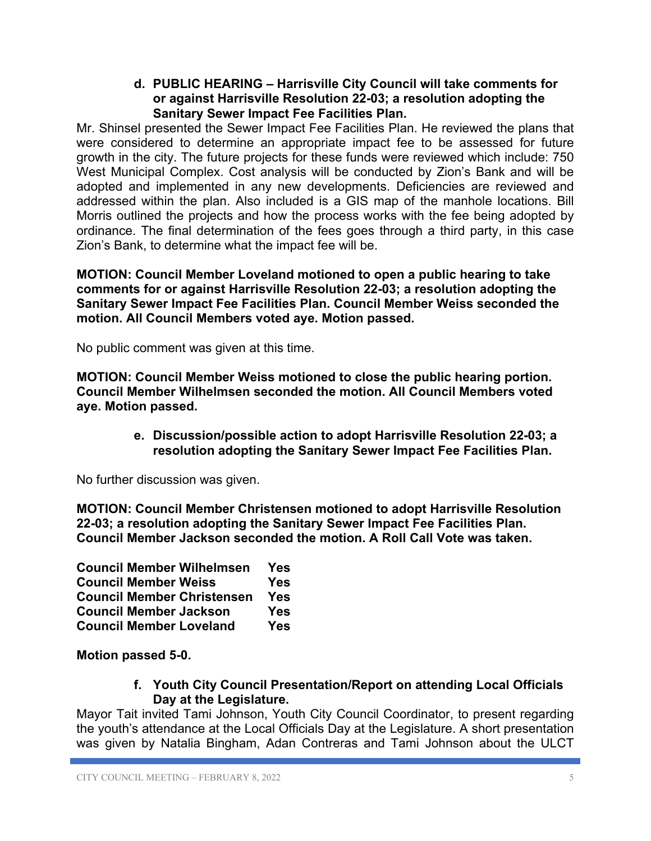## **d. PUBLIC HEARING – Harrisville City Council will take comments for or against Harrisville Resolution 22-03; a resolution adopting the Sanitary Sewer Impact Fee Facilities Plan.**

Mr. Shinsel presented the Sewer Impact Fee Facilities Plan. He reviewed the plans that were considered to determine an appropriate impact fee to be assessed for future growth in the city. The future projects for these funds were reviewed which include: 750 West Municipal Complex. Cost analysis will be conducted by Zion's Bank and will be adopted and implemented in any new developments. Deficiencies are reviewed and addressed within the plan. Also included is a GIS map of the manhole locations. Bill Morris outlined the projects and how the process works with the fee being adopted by ordinance. The final determination of the fees goes through a third party, in this case Zion's Bank, to determine what the impact fee will be.

**MOTION: Council Member Loveland motioned to open a public hearing to take comments for or against Harrisville Resolution 22-03; a resolution adopting the Sanitary Sewer Impact Fee Facilities Plan. Council Member Weiss seconded the motion. All Council Members voted aye. Motion passed.**

No public comment was given at this time.

**MOTION: Council Member Weiss motioned to close the public hearing portion. Council Member Wilhelmsen seconded the motion. All Council Members voted aye. Motion passed.**

> **e. Discussion/possible action to adopt Harrisville Resolution 22-03; a resolution adopting the Sanitary Sewer Impact Fee Facilities Plan.**

No further discussion was given.

**MOTION: Council Member Christensen motioned to adopt Harrisville Resolution 22-03; a resolution adopting the Sanitary Sewer Impact Fee Facilities Plan. Council Member Jackson seconded the motion. A Roll Call Vote was taken.**

| <b>Council Member Wilhelmsen</b>  | Yes        |
|-----------------------------------|------------|
| <b>Council Member Weiss</b>       | Yes        |
| <b>Council Member Christensen</b> | Yes        |
| <b>Council Member Jackson</b>     | <b>Yes</b> |
| <b>Council Member Loveland</b>    | <b>Yes</b> |

**Motion passed 5-0.**

**f. Youth City Council Presentation/Report on attending Local Officials Day at the Legislature.**

Mayor Tait invited Tami Johnson, Youth City Council Coordinator, to present regarding the youth's attendance at the Local Officials Day at the Legislature. A short presentation was given by Natalia Bingham, Adan Contreras and Tami Johnson about the ULCT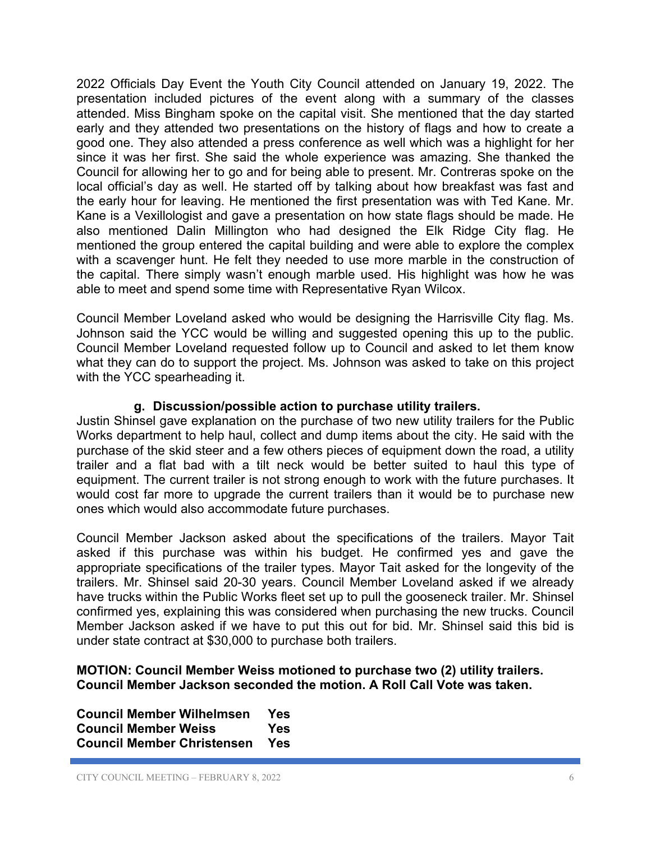2022 Officials Day Event the Youth City Council attended on January 19, 2022. The presentation included pictures of the event along with a summary of the classes attended. Miss Bingham spoke on the capital visit. She mentioned that the day started early and they attended two presentations on the history of flags and how to create a good one. They also attended a press conference as well which was a highlight for her since it was her first. She said the whole experience was amazing. She thanked the Council for allowing her to go and for being able to present. Mr. Contreras spoke on the local official's day as well. He started off by talking about how breakfast was fast and the early hour for leaving. He mentioned the first presentation was with Ted Kane. Mr. Kane is a Vexillologist and gave a presentation on how state flags should be made. He also mentioned Dalin Millington who had designed the Elk Ridge City flag. He mentioned the group entered the capital building and were able to explore the complex with a scavenger hunt. He felt they needed to use more marble in the construction of the capital. There simply wasn't enough marble used. His highlight was how he was able to meet and spend some time with Representative Ryan Wilcox.

Council Member Loveland asked who would be designing the Harrisville City flag. Ms. Johnson said the YCC would be willing and suggested opening this up to the public. Council Member Loveland requested follow up to Council and asked to let them know what they can do to support the project. Ms. Johnson was asked to take on this project with the YCC spearheading it.

## **g. Discussion/possible action to purchase utility trailers.**

Justin Shinsel gave explanation on the purchase of two new utility trailers for the Public Works department to help haul, collect and dump items about the city. He said with the purchase of the skid steer and a few others pieces of equipment down the road, a utility trailer and a flat bad with a tilt neck would be better suited to haul this type of equipment. The current trailer is not strong enough to work with the future purchases. It would cost far more to upgrade the current trailers than it would be to purchase new ones which would also accommodate future purchases.

Council Member Jackson asked about the specifications of the trailers. Mayor Tait asked if this purchase was within his budget. He confirmed yes and gave the appropriate specifications of the trailer types. Mayor Tait asked for the longevity of the trailers. Mr. Shinsel said 20-30 years. Council Member Loveland asked if we already have trucks within the Public Works fleet set up to pull the gooseneck trailer. Mr. Shinsel confirmed yes, explaining this was considered when purchasing the new trucks. Council Member Jackson asked if we have to put this out for bid. Mr. Shinsel said this bid is under state contract at \$30,000 to purchase both trailers.

#### **MOTION: Council Member Weiss motioned to purchase two (2) utility trailers. Council Member Jackson seconded the motion. A Roll Call Vote was taken.**

| <b>Council Member Wilhelmsen</b>  | Yes |
|-----------------------------------|-----|
| <b>Council Member Weiss</b>       | Yes |
| <b>Council Member Christensen</b> | Yes |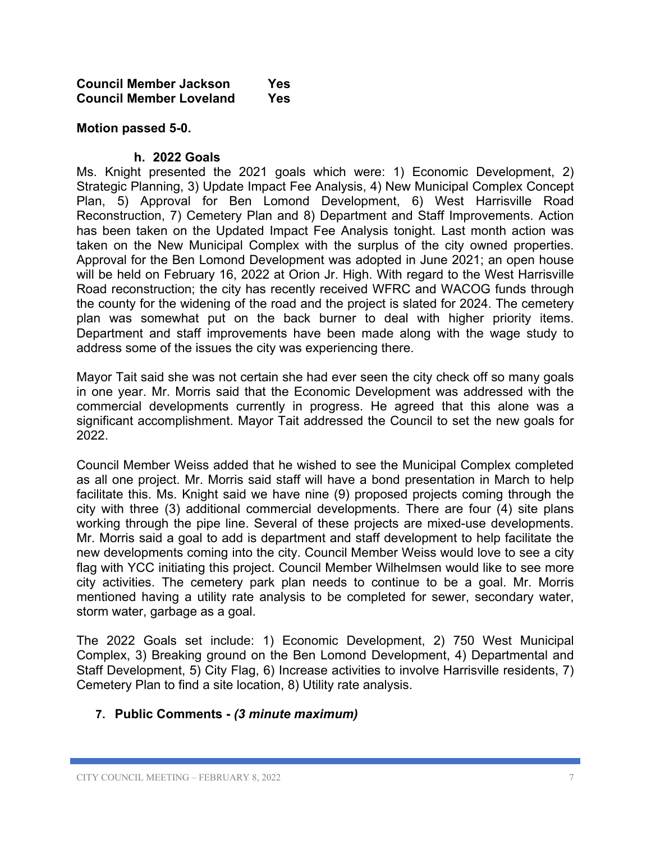#### **Council Member Jackson Yes Council Member Loveland Yes**

#### **Motion passed 5-0.**

#### **h. 2022 Goals**

Ms. Knight presented the 2021 goals which were: 1) Economic Development, 2) Strategic Planning, 3) Update Impact Fee Analysis, 4) New Municipal Complex Concept Plan, 5) Approval for Ben Lomond Development, 6) West Harrisville Road Reconstruction, 7) Cemetery Plan and 8) Department and Staff Improvements. Action has been taken on the Updated Impact Fee Analysis tonight. Last month action was taken on the New Municipal Complex with the surplus of the city owned properties. Approval for the Ben Lomond Development was adopted in June 2021; an open house will be held on February 16, 2022 at Orion Jr. High. With regard to the West Harrisville Road reconstruction; the city has recently received WFRC and WACOG funds through the county for the widening of the road and the project is slated for 2024. The cemetery plan was somewhat put on the back burner to deal with higher priority items. Department and staff improvements have been made along with the wage study to address some of the issues the city was experiencing there.

Mayor Tait said she was not certain she had ever seen the city check off so many goals in one year. Mr. Morris said that the Economic Development was addressed with the commercial developments currently in progress. He agreed that this alone was a significant accomplishment. Mayor Tait addressed the Council to set the new goals for 2022.

Council Member Weiss added that he wished to see the Municipal Complex completed as all one project. Mr. Morris said staff will have a bond presentation in March to help facilitate this. Ms. Knight said we have nine (9) proposed projects coming through the city with three (3) additional commercial developments. There are four (4) site plans working through the pipe line. Several of these projects are mixed-use developments. Mr. Morris said a goal to add is department and staff development to help facilitate the new developments coming into the city. Council Member Weiss would love to see a city flag with YCC initiating this project. Council Member Wilhelmsen would like to see more city activities. The cemetery park plan needs to continue to be a goal. Mr. Morris mentioned having a utility rate analysis to be completed for sewer, secondary water, storm water, garbage as a goal.

The 2022 Goals set include: 1) Economic Development, 2) 750 West Municipal Complex, 3) Breaking ground on the Ben Lomond Development, 4) Departmental and Staff Development, 5) City Flag, 6) Increase activities to involve Harrisville residents, 7) Cemetery Plan to find a site location, 8) Utility rate analysis.

#### **7. Public Comments -** *(3 minute maximum)*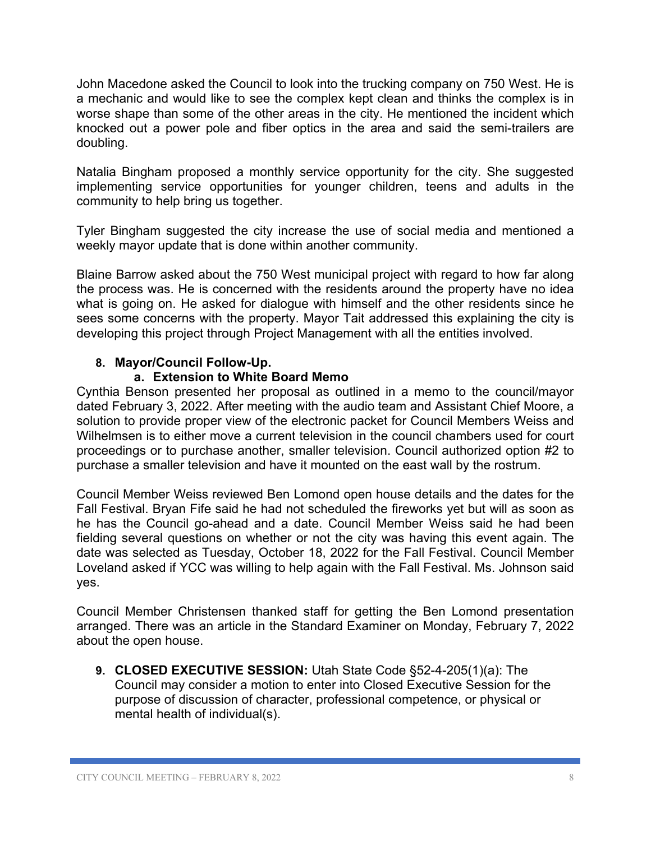John Macedone asked the Council to look into the trucking company on 750 West. He is a mechanic and would like to see the complex kept clean and thinks the complex is in worse shape than some of the other areas in the city. He mentioned the incident which knocked out a power pole and fiber optics in the area and said the semi-trailers are doubling.

Natalia Bingham proposed a monthly service opportunity for the city. She suggested implementing service opportunities for younger children, teens and adults in the community to help bring us together.

Tyler Bingham suggested the city increase the use of social media and mentioned a weekly mayor update that is done within another community.

Blaine Barrow asked about the 750 West municipal project with regard to how far along the process was. He is concerned with the residents around the property have no idea what is going on. He asked for dialogue with himself and the other residents since he sees some concerns with the property. Mayor Tait addressed this explaining the city is developing this project through Project Management with all the entities involved.

## **8. Mayor/Council Follow-Up.**

#### **a. Extension to White Board Memo**

Cynthia Benson presented her proposal as outlined in a memo to the council/mayor dated February 3, 2022. After meeting with the audio team and Assistant Chief Moore, a solution to provide proper view of the electronic packet for Council Members Weiss and Wilhelmsen is to either move a current television in the council chambers used for court proceedings or to purchase another, smaller television. Council authorized option #2 to purchase a smaller television and have it mounted on the east wall by the rostrum.

Council Member Weiss reviewed Ben Lomond open house details and the dates for the Fall Festival. Bryan Fife said he had not scheduled the fireworks yet but will as soon as he has the Council go-ahead and a date. Council Member Weiss said he had been fielding several questions on whether or not the city was having this event again. The date was selected as Tuesday, October 18, 2022 for the Fall Festival. Council Member Loveland asked if YCC was willing to help again with the Fall Festival. Ms. Johnson said yes.

Council Member Christensen thanked staff for getting the Ben Lomond presentation arranged. There was an article in the Standard Examiner on Monday, February 7, 2022 about the open house.

**9. CLOSED EXECUTIVE SESSION:** Utah State Code §52-4-205(1)(a): The Council may consider a motion to enter into Closed Executive Session for the purpose of discussion of character, professional competence, or physical or mental health of individual(s).